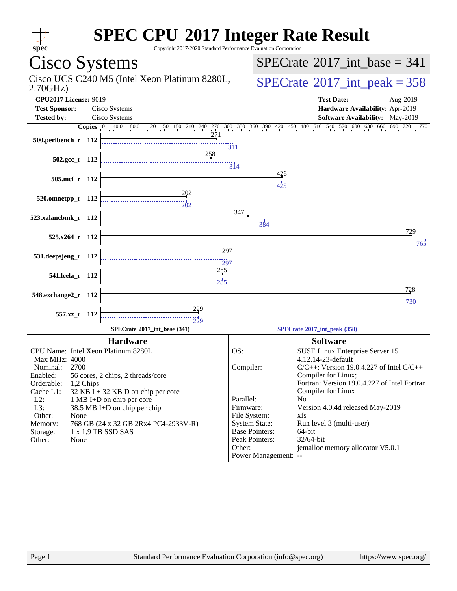| $spec*$                                                        | Copyright 2017-2020 Standard Performance Evaluation Corporation | <b>SPEC CPU®2017 Integer Rate Result</b>                            |
|----------------------------------------------------------------|-----------------------------------------------------------------|---------------------------------------------------------------------|
| Cisco Systems                                                  |                                                                 | $SPECrate^{\circledast}2017$ int base = 341                         |
| Cisco UCS C240 M5 (Intel Xeon Platinum 8280L,<br>2.70GHz       | $SPECTate$ <sup>®</sup> 2017_int_peak = 358                     |                                                                     |
| <b>CPU2017 License: 9019</b>                                   |                                                                 | <b>Test Date:</b><br>Aug-2019                                       |
| Cisco Systems<br><b>Test Sponsor:</b>                          |                                                                 | Hardware Availability: Apr-2019                                     |
| Cisco Systems<br><b>Tested by:</b>                             |                                                                 | <b>Software Availability:</b> May-2019                              |
| 500.perlbench_r 112                                            | $\overline{311}$                                                |                                                                     |
| $502.\text{gcc r}$ 112                                         | <u>25</u> 8<br>$\frac{1}{314}$                                  |                                                                     |
| 505.mcf r 112                                                  |                                                                 | 426                                                                 |
|                                                                |                                                                 | 425                                                                 |
| 520.omnetpp_r 112<br>-----------------------------             | $\overline{20}2$<br>347                                         |                                                                     |
| 523.xalancbmk_r 112                                            |                                                                 | 384                                                                 |
| 525.x264_r 112                                                 |                                                                 | 729<br>765                                                          |
| 531.deepsjeng_r 112                                            | 297<br>$\overbrace{ \begin{array}{c} 1 \\ 2 \end{array} }$      |                                                                     |
| 541.leela r 112                                                | $-285$<br>285                                                   |                                                                     |
| 548.exchange2_r 112                                            |                                                                 | 728<br>$\frac{1}{730}$                                              |
| 557.xz_r 112                                                   |                                                                 |                                                                     |
| SPECrate®2017_int_base (341)                                   | $\frac{11}{229}$                                                | SPECrate®2017_int_peak (358)                                        |
| <b>Hardware</b>                                                |                                                                 | <b>Software</b>                                                     |
| CPU Name: Intel Xeon Platinum 8280L<br>Max MHz: 4000           | OS:                                                             | SUSE Linux Enterprise Server 15<br>4.12.14-23-default               |
| 2700<br>Nominal:                                               | Compiler:                                                       | $C/C++$ : Version 19.0.4.227 of Intel $C/C++$                       |
| Enabled:<br>56 cores, 2 chips, 2 threads/core<br>Orderable:    |                                                                 | Compiler for Linux;<br>Fortran: Version 19.0.4.227 of Intel Fortran |
| 1,2 Chips<br>Cache L1:<br>$32$ KB I + 32 KB D on chip per core |                                                                 | Compiler for Linux                                                  |
| $L2$ :<br>1 MB I+D on chip per core                            | Parallel:                                                       | N <sub>0</sub>                                                      |
| L3:<br>38.5 MB I+D on chip per chip<br>Other:<br>None          | Firmware:<br>File System:                                       | Version 4.0.4d released May-2019<br>xfs                             |
| 768 GB (24 x 32 GB 2Rx4 PC4-2933V-R)<br>Memory:                | <b>System State:</b>                                            | Run level 3 (multi-user)                                            |
| 1 x 1.9 TB SSD SAS<br>Storage:                                 |                                                                 | <b>Base Pointers:</b><br>64-bit                                     |
| Other:<br>None                                                 | Other:                                                          | Peak Pointers:<br>32/64-bit<br>jemalloc memory allocator V5.0.1     |
|                                                                |                                                                 | Power Management: --                                                |
|                                                                |                                                                 |                                                                     |
|                                                                |                                                                 |                                                                     |
|                                                                |                                                                 |                                                                     |
|                                                                |                                                                 |                                                                     |
|                                                                |                                                                 |                                                                     |
|                                                                |                                                                 |                                                                     |
|                                                                |                                                                 |                                                                     |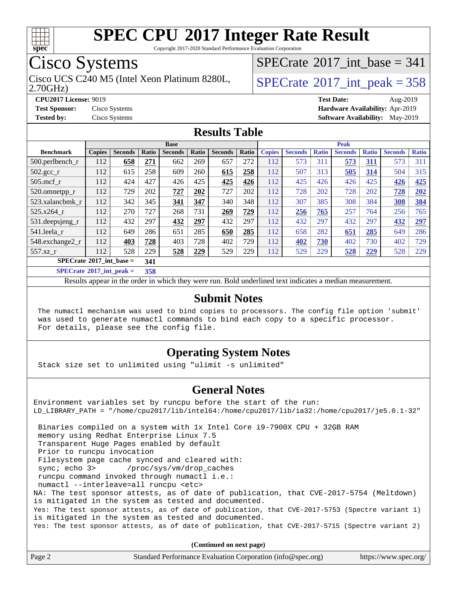

Copyright 2017-2020 Standard Performance Evaluation Corporation

## Cisco Systems

2.70GHz) Cisco UCS C240 M5 (Intel Xeon Platinum 8280L,  $\vert$ [SPECrate](http://www.spec.org/auto/cpu2017/Docs/result-fields.html#SPECrate2017intpeak)®[2017\\_int\\_peak = 3](http://www.spec.org/auto/cpu2017/Docs/result-fields.html#SPECrate2017intpeak)58

 $SPECrate$ <sup>®</sup>[2017\\_int\\_base =](http://www.spec.org/auto/cpu2017/Docs/result-fields.html#SPECrate2017intbase) 341

**[CPU2017 License:](http://www.spec.org/auto/cpu2017/Docs/result-fields.html#CPU2017License)** 9019 **[Test Date:](http://www.spec.org/auto/cpu2017/Docs/result-fields.html#TestDate)** Aug-2019 **[Test Sponsor:](http://www.spec.org/auto/cpu2017/Docs/result-fields.html#TestSponsor)** Cisco Systems **[Hardware Availability:](http://www.spec.org/auto/cpu2017/Docs/result-fields.html#HardwareAvailability)** Apr-2019 **[Tested by:](http://www.spec.org/auto/cpu2017/Docs/result-fields.html#Testedby)** Cisco Systems **[Software Availability:](http://www.spec.org/auto/cpu2017/Docs/result-fields.html#SoftwareAvailability)** May-2019

#### **[Results Table](http://www.spec.org/auto/cpu2017/Docs/result-fields.html#ResultsTable)**

| <b>Base</b>                                                                                            |               |                |       | <b>Peak</b>    |       |                |       |               |                |              |                |              |                |              |
|--------------------------------------------------------------------------------------------------------|---------------|----------------|-------|----------------|-------|----------------|-------|---------------|----------------|--------------|----------------|--------------|----------------|--------------|
| <b>Benchmark</b>                                                                                       | <b>Copies</b> | <b>Seconds</b> | Ratio | <b>Seconds</b> | Ratio | <b>Seconds</b> | Ratio | <b>Copies</b> | <b>Seconds</b> | <b>Ratio</b> | <b>Seconds</b> | <b>Ratio</b> | <b>Seconds</b> | <b>Ratio</b> |
| $500.$ perlbench_r                                                                                     | 112           | 658            | 271   | 662            | 269   | 657            | 272   | 112           | 573            | 311          | 573            | <u>311</u>   | 573            | 311          |
| $502.\text{gcc\_r}$                                                                                    | 112           | 615            | 258   | 609            | 260   | 615            | 258   | 112           | 507            | 313          | 505            | 314          | 504            | 315          |
| $505$ .mcf r                                                                                           | 112           | 424            | 427   | 426            | 425   | 425            | 426   | 112           | 425            | 426          | 426            | 425          | 426            | 425          |
| 520.omnetpp_r                                                                                          | 112           | 729            | 202   | 727            | 202   | 727            | 202   | 112           | 728            | 202          | 728            | 202          | 728            | 202          |
| 523.xalancbmk r                                                                                        | 112           | 342            | 345   | 341            | 347   | 340            | 348   | 112           | 307            | 385          | 308            | 384          | 308            | 384          |
| 525.x264 r                                                                                             | 112           | 270            | 727   | 268            | 731   | 269            | 729   | 112           | 256            | 765          | 257            | 764          | 256            | 765          |
| 531.deepsjeng_r                                                                                        | 112           | 432            | 297   | 432            | 297   | 432            | 297   | 112           | 432            | 297          | 432            | 297          | 432            | 297          |
| 541.leela r                                                                                            | 112           | 649            | 286   | 651            | 285   | 650            | 285   | 112           | 658            | 282          | 651            | 285          | 649            | 286          |
| 548.exchange2_r                                                                                        | 112           | 403            | 728   | 403            | 728   | 402            | 729   | 112           | 402            | 730          | 402            | 730          | 402            | 729          |
| 557.xz r                                                                                               | 112           | 528            | 229   | 528            | 229   | 529            | 229   | 112           | 529            | 229          | 528            | 229          | 528            | 229          |
| $SPECrate^{\circ}2017$ int base =<br>341                                                               |               |                |       |                |       |                |       |               |                |              |                |              |                |              |
| $CDFC_{\text{tot}}$ $\epsilon_0$ 0017 $\epsilon_1$ $\epsilon_2$ $\epsilon_3$ $\epsilon_4$ $\epsilon_5$ |               |                | 200   |                |       |                |       |               |                |              |                |              |                |              |

**[SPECrate](http://www.spec.org/auto/cpu2017/Docs/result-fields.html#SPECrate2017intpeak)[2017\\_int\\_peak =](http://www.spec.org/auto/cpu2017/Docs/result-fields.html#SPECrate2017intpeak) 358**

Results appear in the [order in which they were run](http://www.spec.org/auto/cpu2017/Docs/result-fields.html#RunOrder). Bold underlined text [indicates a median measurement](http://www.spec.org/auto/cpu2017/Docs/result-fields.html#Median).

#### **[Submit Notes](http://www.spec.org/auto/cpu2017/Docs/result-fields.html#SubmitNotes)**

 The numactl mechanism was used to bind copies to processors. The config file option 'submit' was used to generate numactl commands to bind each copy to a specific processor. For details, please see the config file.

#### **[Operating System Notes](http://www.spec.org/auto/cpu2017/Docs/result-fields.html#OperatingSystemNotes)**

Stack size set to unlimited using "ulimit -s unlimited"

#### **[General Notes](http://www.spec.org/auto/cpu2017/Docs/result-fields.html#GeneralNotes)**

Environment variables set by runcpu before the start of the run: LD\_LIBRARY\_PATH = "/home/cpu2017/lib/intel64:/home/cpu2017/lib/ia32:/home/cpu2017/je5.0.1-32" Binaries compiled on a system with 1x Intel Core i9-7900X CPU + 32GB RAM memory using Redhat Enterprise Linux 7.5 Transparent Huge Pages enabled by default Prior to runcpu invocation Filesystem page cache synced and cleared with: sync; echo 3> /proc/sys/vm/drop\_caches runcpu command invoked through numactl i.e.: numactl --interleave=all runcpu <etc> NA: The test sponsor attests, as of date of publication, that CVE-2017-5754 (Meltdown) is mitigated in the system as tested and documented. Yes: The test sponsor attests, as of date of publication, that CVE-2017-5753 (Spectre variant 1) is mitigated in the system as tested and documented. Yes: The test sponsor attests, as of date of publication, that CVE-2017-5715 (Spectre variant 2)

**(Continued on next page)**

| Page 2 | Standard Performance Evaluation Corporation (info@spec.org) | https://www.spec.org/ |
|--------|-------------------------------------------------------------|-----------------------|
|--------|-------------------------------------------------------------|-----------------------|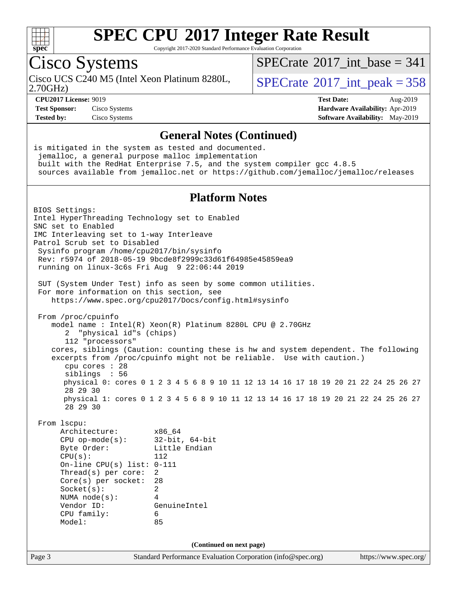

Copyright 2017-2020 Standard Performance Evaluation Corporation

## Cisco Systems

2.70GHz) Cisco UCS C240 M5 (Intel Xeon Platinum 8280L,  $SPECrate^{\circ}2017\_int\_peak = 358$  $SPECrate^{\circ}2017\_int\_peak = 358$ 

 $SPECTate$ <sup>®</sup>[2017\\_int\\_base =](http://www.spec.org/auto/cpu2017/Docs/result-fields.html#SPECrate2017intbase) 341

**[Test Sponsor:](http://www.spec.org/auto/cpu2017/Docs/result-fields.html#TestSponsor)** Cisco Systems **[Hardware Availability:](http://www.spec.org/auto/cpu2017/Docs/result-fields.html#HardwareAvailability)** Apr-2019

**[CPU2017 License:](http://www.spec.org/auto/cpu2017/Docs/result-fields.html#CPU2017License)** 9019 **[Test Date:](http://www.spec.org/auto/cpu2017/Docs/result-fields.html#TestDate)** Aug-2019 **[Tested by:](http://www.spec.org/auto/cpu2017/Docs/result-fields.html#Testedby)** Cisco Systems **[Software Availability:](http://www.spec.org/auto/cpu2017/Docs/result-fields.html#SoftwareAvailability)** May-2019

#### **[General Notes \(Continued\)](http://www.spec.org/auto/cpu2017/Docs/result-fields.html#GeneralNotes)**

Page 3 Standard Performance Evaluation Corporation [\(info@spec.org\)](mailto:info@spec.org) <https://www.spec.org/> is mitigated in the system as tested and documented. jemalloc, a general purpose malloc implementation built with the RedHat Enterprise 7.5, and the system compiler gcc 4.8.5 sources available from jemalloc.net or <https://github.com/jemalloc/jemalloc/releases> **[Platform Notes](http://www.spec.org/auto/cpu2017/Docs/result-fields.html#PlatformNotes)** BIOS Settings: Intel HyperThreading Technology set to Enabled SNC set to Enabled IMC Interleaving set to 1-way Interleave Patrol Scrub set to Disabled Sysinfo program /home/cpu2017/bin/sysinfo Rev: r5974 of 2018-05-19 9bcde8f2999c33d61f64985e45859ea9 running on linux-3c6s Fri Aug 9 22:06:44 2019 SUT (System Under Test) info as seen by some common utilities. For more information on this section, see <https://www.spec.org/cpu2017/Docs/config.html#sysinfo> From /proc/cpuinfo model name : Intel(R) Xeon(R) Platinum 8280L CPU @ 2.70GHz 2 "physical id"s (chips) 112 "processors" cores, siblings (Caution: counting these is hw and system dependent. The following excerpts from /proc/cpuinfo might not be reliable. Use with caution.) cpu cores : 28 siblings : 56 physical 0: cores 0 1 2 3 4 5 6 8 9 10 11 12 13 14 16 17 18 19 20 21 22 24 25 26 27 28 29 30 physical 1: cores 0 1 2 3 4 5 6 8 9 10 11 12 13 14 16 17 18 19 20 21 22 24 25 26 27 28 29 30 From lscpu: Architecture: x86\_64 CPU op-mode(s): 32-bit, 64-bit Byte Order: Little Endian  $CPU(s):$  112 On-line CPU(s) list: 0-111 Thread(s) per core: 2 Core(s) per socket: 28 Socket(s): 2 NUMA node(s): 4 Vendor ID: GenuineIntel CPU family: 6 Model: 85 **(Continued on next page)**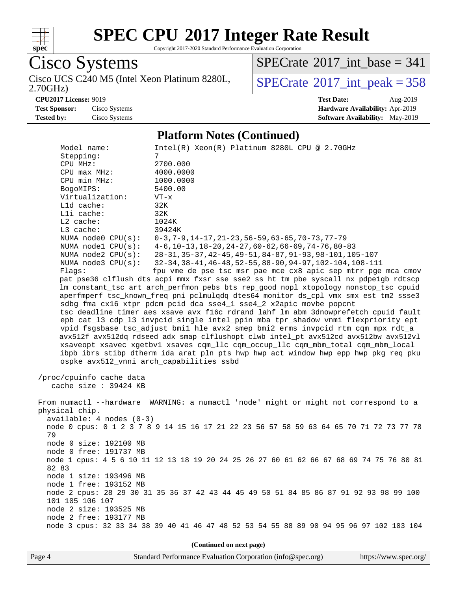

Copyright 2017-2020 Standard Performance Evaluation Corporation

Cisco Systems Cisco UCS C240 M5 (Intel Xeon Platinum 8280L, 2.70GHz)

 $SPECTate$ <sup>®</sup>[2017\\_int\\_base =](http://www.spec.org/auto/cpu2017/Docs/result-fields.html#SPECrate2017intbase) 341

 $SPECTate$ <sup>®</sup>[2017\\_int\\_peak = 3](http://www.spec.org/auto/cpu2017/Docs/result-fields.html#SPECrate2017intpeak)58

**[CPU2017 License:](http://www.spec.org/auto/cpu2017/Docs/result-fields.html#CPU2017License)** 9019 **[Test Date:](http://www.spec.org/auto/cpu2017/Docs/result-fields.html#TestDate)** Aug-2019

**[Test Sponsor:](http://www.spec.org/auto/cpu2017/Docs/result-fields.html#TestSponsor)** Cisco Systems **[Hardware Availability:](http://www.spec.org/auto/cpu2017/Docs/result-fields.html#HardwareAvailability)** Apr-2019 **[Tested by:](http://www.spec.org/auto/cpu2017/Docs/result-fields.html#Testedby)** Cisco Systems **[Software Availability:](http://www.spec.org/auto/cpu2017/Docs/result-fields.html#SoftwareAvailability)** May-2019

#### **[Platform Notes \(Continued\)](http://www.spec.org/auto/cpu2017/Docs/result-fields.html#PlatformNotes)**

Model name: Intel(R) Xeon(R) Platinum 8280L CPU @ 2.70GHz Stepping: 7<br>
CPU MHz: 2700.000 CPU MHz: 2700.000 CPU max MHz: 4000.0000 CPU min MHz: 1000.0000 BogoMIPS: 5400.00 Virtualization: VT-x L1d cache: 32K L1i cache: 32K L2 cache: 1024K L3 cache: 39424K NUMA node0 CPU(s): 0-3,7-9,14-17,21-23,56-59,63-65,70-73,77-79 NUMA node1 CPU(s): 4-6,10-13,18-20,24-27,60-62,66-69,74-76,80-83 NUMA node2 CPU(s): 28-31,35-37,42-45,49-51,84-87,91-93,98-101,105-107 NUMA node3 CPU(s): 32-34,38-41,46-48,52-55,88-90,94-97,102-104,108-111 Flags: fpu vme de pse tsc msr pae mce cx8 apic sep mtrr pge mca cmov pat pse36 clflush dts acpi mmx fxsr sse sse2 ss ht tm pbe syscall nx pdpe1gb rdtscp lm constant\_tsc art arch\_perfmon pebs bts rep\_good nopl xtopology nonstop\_tsc cpuid aperfmperf tsc\_known\_freq pni pclmulqdq dtes64 monitor ds\_cpl vmx smx est tm2 ssse3 sdbg fma cx16 xtpr pdcm pcid dca sse4\_1 sse4\_2 x2apic movbe popcnt tsc\_deadline\_timer aes xsave avx f16c rdrand lahf\_lm abm 3dnowprefetch cpuid\_fault epb cat\_l3 cdp\_l3 invpcid\_single intel\_ppin mba tpr\_shadow vnmi flexpriority ept vpid fsgsbase tsc\_adjust bmi1 hle avx2 smep bmi2 erms invpcid rtm cqm mpx rdt\_a avx512f avx512dq rdseed adx smap clflushopt clwb intel\_pt avx512cd avx512bw avx512vl xsaveopt xsavec xgetbv1 xsaves cqm\_llc cqm\_occup\_llc cqm\_mbm\_total cqm\_mbm\_local ibpb ibrs stibp dtherm ida arat pln pts hwp hwp\_act\_window hwp\_epp hwp\_pkg\_req pku ospke avx512\_vnni arch\_capabilities ssbd /proc/cpuinfo cache data cache size : 39424 KB From numactl --hardware WARNING: a numactl 'node' might or might not correspond to a physical chip. available: 4 nodes (0-3) node 0 cpus: 0 1 2 3 7 8 9 14 15 16 17 21 22 23 56 57 58 59 63 64 65 70 71 72 73 77 78 79 node 0 size: 192100 MB node 0 free: 191737 MB node 1 cpus: 4 5 6 10 11 12 13 18 19 20 24 25 26 27 60 61 62 66 67 68 69 74 75 76 80 81 82 83 node 1 size: 193496 MB node 1 free: 193152 MB node 2 cpus: 28 29 30 31 35 36 37 42 43 44 45 49 50 51 84 85 86 87 91 92 93 98 99 100 101 105 106 107 node 2 size: 193525 MB node 2 free: 193177 MB node 3 cpus: 32 33 34 38 39 40 41 46 47 48 52 53 54 55 88 89 90 94 95 96 97 102 103 104

**(Continued on next page)**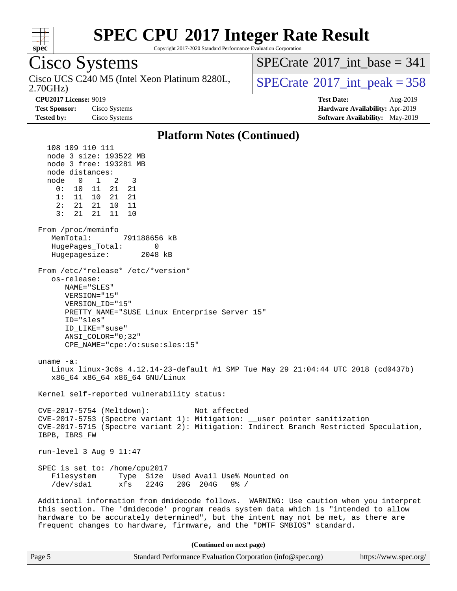

Copyright 2017-2020 Standard Performance Evaluation Corporation

Cisco Systems 2.70GHz) Cisco UCS C240 M5 (Intel Xeon Platinum 8280L,  $\vert$ [SPECrate](http://www.spec.org/auto/cpu2017/Docs/result-fields.html#SPECrate2017intpeak)®[2017\\_int\\_peak = 3](http://www.spec.org/auto/cpu2017/Docs/result-fields.html#SPECrate2017intpeak)58  $SPECTate$ <sup>®</sup>[2017\\_int\\_base =](http://www.spec.org/auto/cpu2017/Docs/result-fields.html#SPECrate2017intbase) 341 **[CPU2017 License:](http://www.spec.org/auto/cpu2017/Docs/result-fields.html#CPU2017License)** 9019 **[Test Date:](http://www.spec.org/auto/cpu2017/Docs/result-fields.html#TestDate)** Aug-2019 **[Test Sponsor:](http://www.spec.org/auto/cpu2017/Docs/result-fields.html#TestSponsor)** Cisco Systems **[Hardware Availability:](http://www.spec.org/auto/cpu2017/Docs/result-fields.html#HardwareAvailability)** Apr-2019 **[Tested by:](http://www.spec.org/auto/cpu2017/Docs/result-fields.html#Testedby)** Cisco Systems **[Software Availability:](http://www.spec.org/auto/cpu2017/Docs/result-fields.html#SoftwareAvailability)** May-2019 **[Platform Notes \(Continued\)](http://www.spec.org/auto/cpu2017/Docs/result-fields.html#PlatformNotes)** 108 109 110 111 node 3 size: 193522 MB node 3 free: 193281 MB node distances: node 0 1 2 3 0: 10 11 21 21 1: 11 10 21 21 2: 21 21 10 11 3: 21 21 11 10 From /proc/meminfo MemTotal: 791188656 kB HugePages\_Total: 0 Hugepagesize: 2048 kB From /etc/\*release\* /etc/\*version\* os-release: NAME="SLES" VERSION="15" VERSION\_ID="15" PRETTY\_NAME="SUSE Linux Enterprise Server 15" ID="sles" ID\_LIKE="suse" ANSI\_COLOR="0;32" CPE\_NAME="cpe:/o:suse:sles:15" uname -a: Linux linux-3c6s 4.12.14-23-default #1 SMP Tue May 29 21:04:44 UTC 2018 (cd0437b) x86\_64 x86\_64 x86\_64 GNU/Linux Kernel self-reported vulnerability status: CVE-2017-5754 (Meltdown): Not affected CVE-2017-5753 (Spectre variant 1): Mitigation: \_\_user pointer sanitization CVE-2017-5715 (Spectre variant 2): Mitigation: Indirect Branch Restricted Speculation, IBPB, IBRS\_FW run-level 3 Aug 9 11:47 SPEC is set to: /home/cpu2017 Filesystem Type Size Used Avail Use% Mounted on /dev/sda1 xfs 224G 20G 204G 9% / Additional information from dmidecode follows. WARNING: Use caution when you interpret this section. The 'dmidecode' program reads system data which is "intended to allow hardware to be accurately determined", but the intent may not be met, as there are frequent changes to hardware, firmware, and the "DMTF SMBIOS" standard. **(Continued on next page)**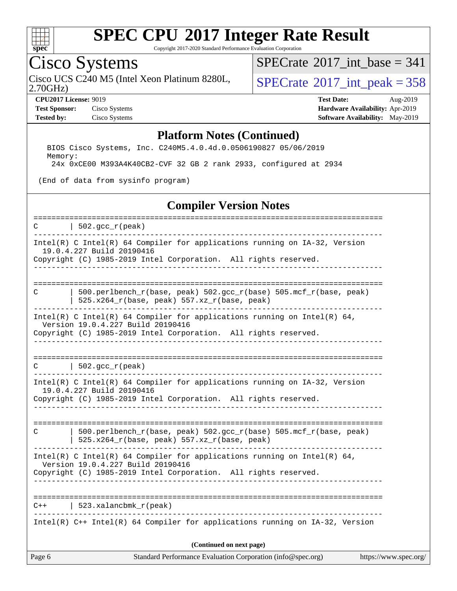

Copyright 2017-2020 Standard Performance Evaluation Corporation

## Cisco Systems

2.70GHz) Cisco UCS C240 M5 (Intel Xeon Platinum 8280L,  $SPECrate^{\circ}2017\_int\_peak = 358$  $SPECrate^{\circ}2017\_int\_peak = 358$ 

 $SPECTate$ <sup>®</sup>[2017\\_int\\_base =](http://www.spec.org/auto/cpu2017/Docs/result-fields.html#SPECrate2017intbase) 341

**[Test Sponsor:](http://www.spec.org/auto/cpu2017/Docs/result-fields.html#TestSponsor)** Cisco Systems **[Hardware Availability:](http://www.spec.org/auto/cpu2017/Docs/result-fields.html#HardwareAvailability)** Apr-2019

**[CPU2017 License:](http://www.spec.org/auto/cpu2017/Docs/result-fields.html#CPU2017License)** 9019 **[Test Date:](http://www.spec.org/auto/cpu2017/Docs/result-fields.html#TestDate)** Aug-2019 **[Tested by:](http://www.spec.org/auto/cpu2017/Docs/result-fields.html#Testedby)** Cisco Systems **[Software Availability:](http://www.spec.org/auto/cpu2017/Docs/result-fields.html#SoftwareAvailability)** May-2019

#### **[Platform Notes \(Continued\)](http://www.spec.org/auto/cpu2017/Docs/result-fields.html#PlatformNotes)**

 BIOS Cisco Systems, Inc. C240M5.4.0.4d.0.0506190827 05/06/2019 Memory: 24x 0xCE00 M393A4K40CB2-CVF 32 GB 2 rank 2933, configured at 2934

(End of data from sysinfo program)

#### **[Compiler Version Notes](http://www.spec.org/auto/cpu2017/Docs/result-fields.html#CompilerVersionNotes)**

Page 6 Standard Performance Evaluation Corporation [\(info@spec.org\)](mailto:info@spec.org) <https://www.spec.org/> ============================================================================== C |  $502 \text{ qcc r (peak)}$ ------------------------------------------------------------------------------ Intel(R) C Intel(R) 64 Compiler for applications running on IA-32, Version 19.0.4.227 Build 20190416 Copyright (C) 1985-2019 Intel Corporation. All rights reserved. ------------------------------------------------------------------------------ ============================================================================== C | 500.perlbench\_r(base, peak) 502.gcc\_r(base) 505.mcf\_r(base, peak) | 525.x264\_r(base, peak) 557.xz\_r(base, peak) ------------------------------------------------------------------------------ Intel(R) C Intel(R) 64 Compiler for applications running on Intel(R)  $64$ , Version 19.0.4.227 Build 20190416 Copyright (C) 1985-2019 Intel Corporation. All rights reserved. ------------------------------------------------------------------------------ ==============================================================================  $C \qquad | \quad 502.\text{gcc\_r}(\text{peak})$ ------------------------------------------------------------------------------ Intel(R) C Intel(R) 64 Compiler for applications running on IA-32, Version 19.0.4.227 Build 20190416 Copyright (C) 1985-2019 Intel Corporation. All rights reserved. ------------------------------------------------------------------------------ ============================================================================== C | 500.perlbench\_r(base, peak) 502.gcc\_r(base) 505.mcf\_r(base, peak) | 525.x264 $r(base, peak)$  557.xz $r(base, peak)$ ------------------------------------------------------------------------------ Intel(R) C Intel(R) 64 Compiler for applications running on Intel(R)  $64$ , Version 19.0.4.227 Build 20190416 Copyright (C) 1985-2019 Intel Corporation. All rights reserved. ------------------------------------------------------------------------------ ============================================================================== C++ | 523.xalancbmk\_r(peak) ------------------------------------------------------------------------------ Intel(R) C++ Intel(R) 64 Compiler for applications running on IA-32, Version **(Continued on next page)**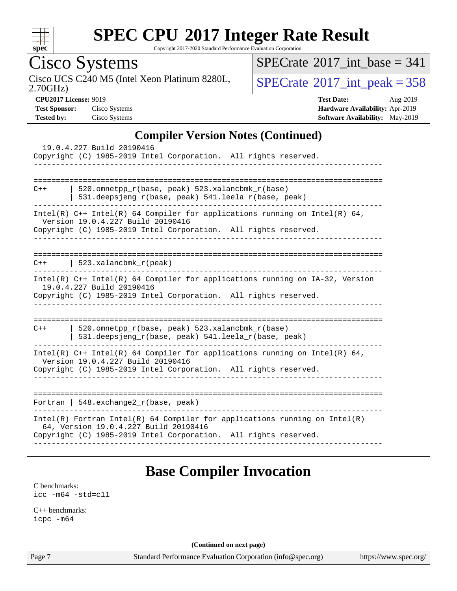

Copyright 2017-2020 Standard Performance Evaluation Corporation

Cisco Systems<br>Cisco UCS C240 M5 (Intel Xeon Platinum 8280L, 2.70GHz)

 $SPECTate$ <sup>®</sup>[2017\\_int\\_base =](http://www.spec.org/auto/cpu2017/Docs/result-fields.html#SPECrate2017intbase) 341

 $SPECrate<sup>®</sup>2017_int_ppeak = 358$  $SPECrate<sup>®</sup>2017_int_ppeak = 358$ 

**[CPU2017 License:](http://www.spec.org/auto/cpu2017/Docs/result-fields.html#CPU2017License)** 9019 **[Test Date:](http://www.spec.org/auto/cpu2017/Docs/result-fields.html#TestDate)** Aug-2019 **[Test Sponsor:](http://www.spec.org/auto/cpu2017/Docs/result-fields.html#TestSponsor)** Cisco Systems **[Hardware Availability:](http://www.spec.org/auto/cpu2017/Docs/result-fields.html#HardwareAvailability)** Apr-2019 **[Tested by:](http://www.spec.org/auto/cpu2017/Docs/result-fields.html#Testedby)** Cisco Systems **[Software Availability:](http://www.spec.org/auto/cpu2017/Docs/result-fields.html#SoftwareAvailability)** May-2019

#### **[Compiler Version Notes \(Continued\)](http://www.spec.org/auto/cpu2017/Docs/result-fields.html#CompilerVersionNotes)**

| 19.0.4.227 Build 20190416<br>Copyright (C) 1985-2019 Intel Corporation. All rights reserved.<br>==============                                                                         |
|----------------------------------------------------------------------------------------------------------------------------------------------------------------------------------------|
| 520.omnetpp_r(base, peak) 523.xalancbmk_r(base)<br>$C++$<br>531.deepsjeng_r(base, peak) 541.leela_r(base, peak)                                                                        |
| Intel(R) $C++$ Intel(R) 64 Compiler for applications running on Intel(R) 64,<br>Version 19.0.4.227 Build 20190416<br>Copyright (C) 1985-2019 Intel Corporation. All rights reserved.   |
| $C++$   523.xalancbmk $r(\text{peak})$                                                                                                                                                 |
| Intel(R) C++ Intel(R) 64 Compiler for applications running on IA-32, Version<br>19.0.4.227 Build 20190416<br>Copyright (C) 1985-2019 Intel Corporation. All rights reserved.           |
| 520.omnetpp_r(base, peak) 523.xalancbmk_r(base)<br>$C++$<br>531.deepsjeng_r(base, peak) 541.leela_r(base, peak)                                                                        |
| Intel(R) $C++$ Intel(R) 64 Compiler for applications running on Intel(R) 64,<br>Version 19.0.4.227 Build 20190416<br>Copyright (C) 1985-2019 Intel Corporation. All rights reserved.   |
| Fortran   548. exchange $2r(base, peak)$                                                                                                                                               |
| Intel(R) Fortran Intel(R) 64 Compiler for applications running on Intel(R)<br>64, Version 19.0.4.227 Build 20190416<br>Copyright (C) 1985-2019 Intel Corporation. All rights reserved. |
|                                                                                                                                                                                        |

#### **[Base Compiler Invocation](http://www.spec.org/auto/cpu2017/Docs/result-fields.html#BaseCompilerInvocation)**

[C benchmarks](http://www.spec.org/auto/cpu2017/Docs/result-fields.html#Cbenchmarks): [icc -m64 -std=c11](http://www.spec.org/cpu2017/results/res2019q3/cpu2017-20190819-16755.flags.html#user_CCbase_intel_icc_64bit_c11_33ee0cdaae7deeeab2a9725423ba97205ce30f63b9926c2519791662299b76a0318f32ddfffdc46587804de3178b4f9328c46fa7c2b0cd779d7a61945c91cd35)

[C++ benchmarks:](http://www.spec.org/auto/cpu2017/Docs/result-fields.html#CXXbenchmarks) [icpc -m64](http://www.spec.org/cpu2017/results/res2019q3/cpu2017-20190819-16755.flags.html#user_CXXbase_intel_icpc_64bit_4ecb2543ae3f1412ef961e0650ca070fec7b7afdcd6ed48761b84423119d1bf6bdf5cad15b44d48e7256388bc77273b966e5eb805aefd121eb22e9299b2ec9d9)

**(Continued on next page)**

Page 7 Standard Performance Evaluation Corporation [\(info@spec.org\)](mailto:info@spec.org) <https://www.spec.org/>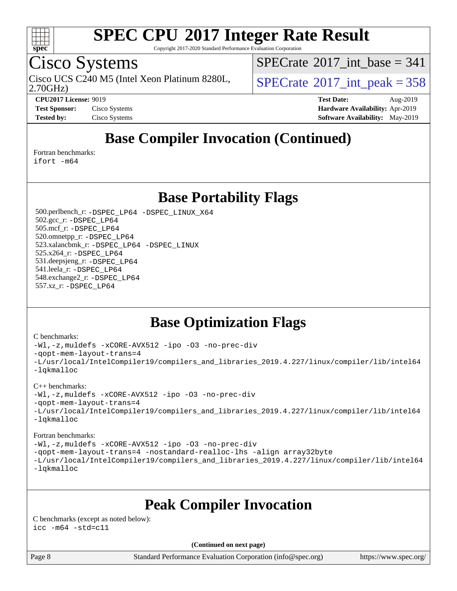

Copyright 2017-2020 Standard Performance Evaluation Corporation

## Cisco Systems

2.70GHz) Cisco UCS C240 M5 (Intel Xeon Platinum 8280L,  $\vert$ [SPECrate](http://www.spec.org/auto/cpu2017/Docs/result-fields.html#SPECrate2017intpeak)<sup>®</sup>[2017\\_int\\_peak = 3](http://www.spec.org/auto/cpu2017/Docs/result-fields.html#SPECrate2017intpeak)58

 $SPECrate$ <sup>®</sup>[2017\\_int\\_base =](http://www.spec.org/auto/cpu2017/Docs/result-fields.html#SPECrate2017intbase) 341

**[CPU2017 License:](http://www.spec.org/auto/cpu2017/Docs/result-fields.html#CPU2017License)** 9019 **[Test Date:](http://www.spec.org/auto/cpu2017/Docs/result-fields.html#TestDate)** Aug-2019 **[Test Sponsor:](http://www.spec.org/auto/cpu2017/Docs/result-fields.html#TestSponsor)** Cisco Systems **[Hardware Availability:](http://www.spec.org/auto/cpu2017/Docs/result-fields.html#HardwareAvailability)** Apr-2019 **[Tested by:](http://www.spec.org/auto/cpu2017/Docs/result-fields.html#Testedby)** Cisco Systems **[Software Availability:](http://www.spec.org/auto/cpu2017/Docs/result-fields.html#SoftwareAvailability)** May-2019

### **[Base Compiler Invocation \(Continued\)](http://www.spec.org/auto/cpu2017/Docs/result-fields.html#BaseCompilerInvocation)**

[Fortran benchmarks](http://www.spec.org/auto/cpu2017/Docs/result-fields.html#Fortranbenchmarks):

[ifort -m64](http://www.spec.org/cpu2017/results/res2019q3/cpu2017-20190819-16755.flags.html#user_FCbase_intel_ifort_64bit_24f2bb282fbaeffd6157abe4f878425411749daecae9a33200eee2bee2fe76f3b89351d69a8130dd5949958ce389cf37ff59a95e7a40d588e8d3a57e0c3fd751)

#### **[Base Portability Flags](http://www.spec.org/auto/cpu2017/Docs/result-fields.html#BasePortabilityFlags)**

 500.perlbench\_r: [-DSPEC\\_LP64](http://www.spec.org/cpu2017/results/res2019q3/cpu2017-20190819-16755.flags.html#b500.perlbench_r_basePORTABILITY_DSPEC_LP64) [-DSPEC\\_LINUX\\_X64](http://www.spec.org/cpu2017/results/res2019q3/cpu2017-20190819-16755.flags.html#b500.perlbench_r_baseCPORTABILITY_DSPEC_LINUX_X64) 502.gcc\_r: [-DSPEC\\_LP64](http://www.spec.org/cpu2017/results/res2019q3/cpu2017-20190819-16755.flags.html#suite_basePORTABILITY502_gcc_r_DSPEC_LP64) 505.mcf\_r: [-DSPEC\\_LP64](http://www.spec.org/cpu2017/results/res2019q3/cpu2017-20190819-16755.flags.html#suite_basePORTABILITY505_mcf_r_DSPEC_LP64) 520.omnetpp\_r: [-DSPEC\\_LP64](http://www.spec.org/cpu2017/results/res2019q3/cpu2017-20190819-16755.flags.html#suite_basePORTABILITY520_omnetpp_r_DSPEC_LP64) 523.xalancbmk\_r: [-DSPEC\\_LP64](http://www.spec.org/cpu2017/results/res2019q3/cpu2017-20190819-16755.flags.html#suite_basePORTABILITY523_xalancbmk_r_DSPEC_LP64) [-DSPEC\\_LINUX](http://www.spec.org/cpu2017/results/res2019q3/cpu2017-20190819-16755.flags.html#b523.xalancbmk_r_baseCXXPORTABILITY_DSPEC_LINUX) 525.x264\_r: [-DSPEC\\_LP64](http://www.spec.org/cpu2017/results/res2019q3/cpu2017-20190819-16755.flags.html#suite_basePORTABILITY525_x264_r_DSPEC_LP64) 531.deepsjeng\_r: [-DSPEC\\_LP64](http://www.spec.org/cpu2017/results/res2019q3/cpu2017-20190819-16755.flags.html#suite_basePORTABILITY531_deepsjeng_r_DSPEC_LP64) 541.leela\_r: [-DSPEC\\_LP64](http://www.spec.org/cpu2017/results/res2019q3/cpu2017-20190819-16755.flags.html#suite_basePORTABILITY541_leela_r_DSPEC_LP64) 548.exchange2\_r: [-DSPEC\\_LP64](http://www.spec.org/cpu2017/results/res2019q3/cpu2017-20190819-16755.flags.html#suite_basePORTABILITY548_exchange2_r_DSPEC_LP64) 557.xz\_r: [-DSPEC\\_LP64](http://www.spec.org/cpu2017/results/res2019q3/cpu2017-20190819-16755.flags.html#suite_basePORTABILITY557_xz_r_DSPEC_LP64)

#### **[Base Optimization Flags](http://www.spec.org/auto/cpu2017/Docs/result-fields.html#BaseOptimizationFlags)**

#### [C benchmarks](http://www.spec.org/auto/cpu2017/Docs/result-fields.html#Cbenchmarks):

[-Wl,-z,muldefs](http://www.spec.org/cpu2017/results/res2019q3/cpu2017-20190819-16755.flags.html#user_CCbase_link_force_multiple1_b4cbdb97b34bdee9ceefcfe54f4c8ea74255f0b02a4b23e853cdb0e18eb4525ac79b5a88067c842dd0ee6996c24547a27a4b99331201badda8798ef8a743f577) [-xCORE-AVX512](http://www.spec.org/cpu2017/results/res2019q3/cpu2017-20190819-16755.flags.html#user_CCbase_f-xCORE-AVX512) [-ipo](http://www.spec.org/cpu2017/results/res2019q3/cpu2017-20190819-16755.flags.html#user_CCbase_f-ipo) [-O3](http://www.spec.org/cpu2017/results/res2019q3/cpu2017-20190819-16755.flags.html#user_CCbase_f-O3) [-no-prec-div](http://www.spec.org/cpu2017/results/res2019q3/cpu2017-20190819-16755.flags.html#user_CCbase_f-no-prec-div) [-qopt-mem-layout-trans=4](http://www.spec.org/cpu2017/results/res2019q3/cpu2017-20190819-16755.flags.html#user_CCbase_f-qopt-mem-layout-trans_fa39e755916c150a61361b7846f310bcdf6f04e385ef281cadf3647acec3f0ae266d1a1d22d972a7087a248fd4e6ca390a3634700869573d231a252c784941a8) [-L/usr/local/IntelCompiler19/compilers\\_and\\_libraries\\_2019.4.227/linux/compiler/lib/intel64](http://www.spec.org/cpu2017/results/res2019q3/cpu2017-20190819-16755.flags.html#user_CCbase_qkmalloc_link_0ffe0cb02c68ef1b443a077c7888c10c67ca0d1dd7138472156f06a085bbad385f78d49618ad55dca9db3b1608e84afc2f69b4003b1d1ca498a9fc1462ccefda) [-lqkmalloc](http://www.spec.org/cpu2017/results/res2019q3/cpu2017-20190819-16755.flags.html#user_CCbase_qkmalloc_link_lib_79a818439969f771c6bc311cfd333c00fc099dad35c030f5aab9dda831713d2015205805422f83de8875488a2991c0a156aaa600e1f9138f8fc37004abc96dc5)

#### [C++ benchmarks](http://www.spec.org/auto/cpu2017/Docs/result-fields.html#CXXbenchmarks):

[-Wl,-z,muldefs](http://www.spec.org/cpu2017/results/res2019q3/cpu2017-20190819-16755.flags.html#user_CXXbase_link_force_multiple1_b4cbdb97b34bdee9ceefcfe54f4c8ea74255f0b02a4b23e853cdb0e18eb4525ac79b5a88067c842dd0ee6996c24547a27a4b99331201badda8798ef8a743f577) [-xCORE-AVX512](http://www.spec.org/cpu2017/results/res2019q3/cpu2017-20190819-16755.flags.html#user_CXXbase_f-xCORE-AVX512) [-ipo](http://www.spec.org/cpu2017/results/res2019q3/cpu2017-20190819-16755.flags.html#user_CXXbase_f-ipo) [-O3](http://www.spec.org/cpu2017/results/res2019q3/cpu2017-20190819-16755.flags.html#user_CXXbase_f-O3) [-no-prec-div](http://www.spec.org/cpu2017/results/res2019q3/cpu2017-20190819-16755.flags.html#user_CXXbase_f-no-prec-div)

[-qopt-mem-layout-trans=4](http://www.spec.org/cpu2017/results/res2019q3/cpu2017-20190819-16755.flags.html#user_CXXbase_f-qopt-mem-layout-trans_fa39e755916c150a61361b7846f310bcdf6f04e385ef281cadf3647acec3f0ae266d1a1d22d972a7087a248fd4e6ca390a3634700869573d231a252c784941a8)

[-L/usr/local/IntelCompiler19/compilers\\_and\\_libraries\\_2019.4.227/linux/compiler/lib/intel64](http://www.spec.org/cpu2017/results/res2019q3/cpu2017-20190819-16755.flags.html#user_CXXbase_qkmalloc_link_0ffe0cb02c68ef1b443a077c7888c10c67ca0d1dd7138472156f06a085bbad385f78d49618ad55dca9db3b1608e84afc2f69b4003b1d1ca498a9fc1462ccefda) [-lqkmalloc](http://www.spec.org/cpu2017/results/res2019q3/cpu2017-20190819-16755.flags.html#user_CXXbase_qkmalloc_link_lib_79a818439969f771c6bc311cfd333c00fc099dad35c030f5aab9dda831713d2015205805422f83de8875488a2991c0a156aaa600e1f9138f8fc37004abc96dc5)

#### [Fortran benchmarks](http://www.spec.org/auto/cpu2017/Docs/result-fields.html#Fortranbenchmarks):

[-Wl,-z,muldefs](http://www.spec.org/cpu2017/results/res2019q3/cpu2017-20190819-16755.flags.html#user_FCbase_link_force_multiple1_b4cbdb97b34bdee9ceefcfe54f4c8ea74255f0b02a4b23e853cdb0e18eb4525ac79b5a88067c842dd0ee6996c24547a27a4b99331201badda8798ef8a743f577) [-xCORE-AVX512](http://www.spec.org/cpu2017/results/res2019q3/cpu2017-20190819-16755.flags.html#user_FCbase_f-xCORE-AVX512) [-ipo](http://www.spec.org/cpu2017/results/res2019q3/cpu2017-20190819-16755.flags.html#user_FCbase_f-ipo) [-O3](http://www.spec.org/cpu2017/results/res2019q3/cpu2017-20190819-16755.flags.html#user_FCbase_f-O3) [-no-prec-div](http://www.spec.org/cpu2017/results/res2019q3/cpu2017-20190819-16755.flags.html#user_FCbase_f-no-prec-div) [-qopt-mem-layout-trans=4](http://www.spec.org/cpu2017/results/res2019q3/cpu2017-20190819-16755.flags.html#user_FCbase_f-qopt-mem-layout-trans_fa39e755916c150a61361b7846f310bcdf6f04e385ef281cadf3647acec3f0ae266d1a1d22d972a7087a248fd4e6ca390a3634700869573d231a252c784941a8) [-nostandard-realloc-lhs](http://www.spec.org/cpu2017/results/res2019q3/cpu2017-20190819-16755.flags.html#user_FCbase_f_2003_std_realloc_82b4557e90729c0f113870c07e44d33d6f5a304b4f63d4c15d2d0f1fab99f5daaed73bdb9275d9ae411527f28b936061aa8b9c8f2d63842963b95c9dd6426b8a) [-align array32byte](http://www.spec.org/cpu2017/results/res2019q3/cpu2017-20190819-16755.flags.html#user_FCbase_align_array32byte_b982fe038af199962ba9a80c053b8342c548c85b40b8e86eb3cc33dee0d7986a4af373ac2d51c3f7cf710a18d62fdce2948f201cd044323541f22fc0fffc51b6) [-L/usr/local/IntelCompiler19/compilers\\_and\\_libraries\\_2019.4.227/linux/compiler/lib/intel64](http://www.spec.org/cpu2017/results/res2019q3/cpu2017-20190819-16755.flags.html#user_FCbase_qkmalloc_link_0ffe0cb02c68ef1b443a077c7888c10c67ca0d1dd7138472156f06a085bbad385f78d49618ad55dca9db3b1608e84afc2f69b4003b1d1ca498a9fc1462ccefda) [-lqkmalloc](http://www.spec.org/cpu2017/results/res2019q3/cpu2017-20190819-16755.flags.html#user_FCbase_qkmalloc_link_lib_79a818439969f771c6bc311cfd333c00fc099dad35c030f5aab9dda831713d2015205805422f83de8875488a2991c0a156aaa600e1f9138f8fc37004abc96dc5)

### **[Peak Compiler Invocation](http://www.spec.org/auto/cpu2017/Docs/result-fields.html#PeakCompilerInvocation)**

[C benchmarks \(except as noted below\)](http://www.spec.org/auto/cpu2017/Docs/result-fields.html#Cbenchmarksexceptasnotedbelow):  $\text{icc}$  -m64 -std=c11

**(Continued on next page)**

Page 8 Standard Performance Evaluation Corporation [\(info@spec.org\)](mailto:info@spec.org) <https://www.spec.org/>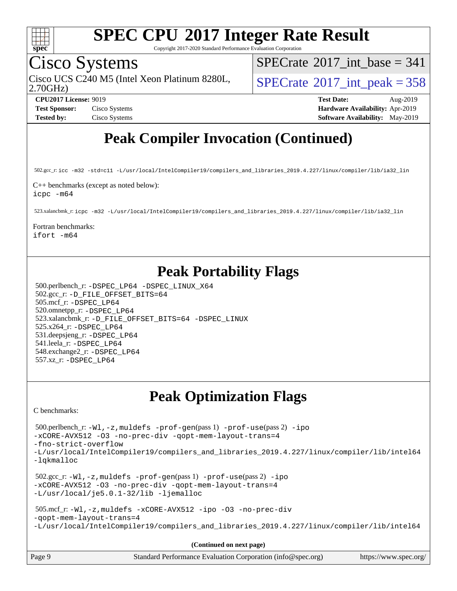

Copyright 2017-2020 Standard Performance Evaluation Corporation

## Cisco Systems

2.70GHz) Cisco UCS C240 M5 (Intel Xeon Platinum 8280L,  $\vert$ [SPECrate](http://www.spec.org/auto/cpu2017/Docs/result-fields.html#SPECrate2017intpeak)<sup>®</sup>[2017\\_int\\_peak = 3](http://www.spec.org/auto/cpu2017/Docs/result-fields.html#SPECrate2017intpeak)58

 $SPECTate$ <sup>®</sup>[2017\\_int\\_base =](http://www.spec.org/auto/cpu2017/Docs/result-fields.html#SPECrate2017intbase) 341

**[CPU2017 License:](http://www.spec.org/auto/cpu2017/Docs/result-fields.html#CPU2017License)** 9019 **[Test Date:](http://www.spec.org/auto/cpu2017/Docs/result-fields.html#TestDate)** Aug-2019 **[Test Sponsor:](http://www.spec.org/auto/cpu2017/Docs/result-fields.html#TestSponsor)** Cisco Systems **[Hardware Availability:](http://www.spec.org/auto/cpu2017/Docs/result-fields.html#HardwareAvailability)** Apr-2019 **[Tested by:](http://www.spec.org/auto/cpu2017/Docs/result-fields.html#Testedby)** Cisco Systems **[Software Availability:](http://www.spec.org/auto/cpu2017/Docs/result-fields.html#SoftwareAvailability)** May-2019

### **[Peak Compiler Invocation \(Continued\)](http://www.spec.org/auto/cpu2017/Docs/result-fields.html#PeakCompilerInvocation)**

502.gcc\_r: [icc -m32 -std=c11 -L/usr/local/IntelCompiler19/compilers\\_and\\_libraries\\_2019.4.227/linux/compiler/lib/ia32\\_lin](http://www.spec.org/cpu2017/results/res2019q3/cpu2017-20190819-16755.flags.html#user_peakCCLD502_gcc_r_intel_icc_38a193a897536fa645efb1dc6ac2bea2bddbbe56f130e144a606d1b2649003f27c79f8814020c1f9355cbbf0d7ab0d194a7a979ee1e2a95641bbb8cf571aac7b)

[C++ benchmarks \(except as noted below\):](http://www.spec.org/auto/cpu2017/Docs/result-fields.html#CXXbenchmarksexceptasnotedbelow) [icpc -m64](http://www.spec.org/cpu2017/results/res2019q3/cpu2017-20190819-16755.flags.html#user_CXXpeak_intel_icpc_64bit_4ecb2543ae3f1412ef961e0650ca070fec7b7afdcd6ed48761b84423119d1bf6bdf5cad15b44d48e7256388bc77273b966e5eb805aefd121eb22e9299b2ec9d9)

523.xalancbmk\_r: [icpc -m32 -L/usr/local/IntelCompiler19/compilers\\_and\\_libraries\\_2019.4.227/linux/compiler/lib/ia32\\_lin](http://www.spec.org/cpu2017/results/res2019q3/cpu2017-20190819-16755.flags.html#user_peakCXXLD523_xalancbmk_r_intel_icpc_840f965b38320ad10acba6032d6ca4c816e722c432c250f3408feae347068ba449f694544a48cf12cd3bde3495e328e6747ab0f629c2925d3062e2ee144af951)

[Fortran benchmarks](http://www.spec.org/auto/cpu2017/Docs/result-fields.html#Fortranbenchmarks):

[ifort -m64](http://www.spec.org/cpu2017/results/res2019q3/cpu2017-20190819-16755.flags.html#user_FCpeak_intel_ifort_64bit_24f2bb282fbaeffd6157abe4f878425411749daecae9a33200eee2bee2fe76f3b89351d69a8130dd5949958ce389cf37ff59a95e7a40d588e8d3a57e0c3fd751)

#### **[Peak Portability Flags](http://www.spec.org/auto/cpu2017/Docs/result-fields.html#PeakPortabilityFlags)**

 500.perlbench\_r: [-DSPEC\\_LP64](http://www.spec.org/cpu2017/results/res2019q3/cpu2017-20190819-16755.flags.html#b500.perlbench_r_peakPORTABILITY_DSPEC_LP64) [-DSPEC\\_LINUX\\_X64](http://www.spec.org/cpu2017/results/res2019q3/cpu2017-20190819-16755.flags.html#b500.perlbench_r_peakCPORTABILITY_DSPEC_LINUX_X64) 502.gcc\_r: [-D\\_FILE\\_OFFSET\\_BITS=64](http://www.spec.org/cpu2017/results/res2019q3/cpu2017-20190819-16755.flags.html#user_peakPORTABILITY502_gcc_r_file_offset_bits_64_5ae949a99b284ddf4e95728d47cb0843d81b2eb0e18bdfe74bbf0f61d0b064f4bda2f10ea5eb90e1dcab0e84dbc592acfc5018bc955c18609f94ddb8d550002c) 505.mcf\_r: [-DSPEC\\_LP64](http://www.spec.org/cpu2017/results/res2019q3/cpu2017-20190819-16755.flags.html#suite_peakPORTABILITY505_mcf_r_DSPEC_LP64) 520.omnetpp\_r: [-DSPEC\\_LP64](http://www.spec.org/cpu2017/results/res2019q3/cpu2017-20190819-16755.flags.html#suite_peakPORTABILITY520_omnetpp_r_DSPEC_LP64) 523.xalancbmk\_r: [-D\\_FILE\\_OFFSET\\_BITS=64](http://www.spec.org/cpu2017/results/res2019q3/cpu2017-20190819-16755.flags.html#user_peakPORTABILITY523_xalancbmk_r_file_offset_bits_64_5ae949a99b284ddf4e95728d47cb0843d81b2eb0e18bdfe74bbf0f61d0b064f4bda2f10ea5eb90e1dcab0e84dbc592acfc5018bc955c18609f94ddb8d550002c) [-DSPEC\\_LINUX](http://www.spec.org/cpu2017/results/res2019q3/cpu2017-20190819-16755.flags.html#b523.xalancbmk_r_peakCXXPORTABILITY_DSPEC_LINUX) 525.x264\_r: [-DSPEC\\_LP64](http://www.spec.org/cpu2017/results/res2019q3/cpu2017-20190819-16755.flags.html#suite_peakPORTABILITY525_x264_r_DSPEC_LP64) 531.deepsjeng\_r: [-DSPEC\\_LP64](http://www.spec.org/cpu2017/results/res2019q3/cpu2017-20190819-16755.flags.html#suite_peakPORTABILITY531_deepsjeng_r_DSPEC_LP64) 541.leela\_r: [-DSPEC\\_LP64](http://www.spec.org/cpu2017/results/res2019q3/cpu2017-20190819-16755.flags.html#suite_peakPORTABILITY541_leela_r_DSPEC_LP64) 548.exchange2\_r: [-DSPEC\\_LP64](http://www.spec.org/cpu2017/results/res2019q3/cpu2017-20190819-16755.flags.html#suite_peakPORTABILITY548_exchange2_r_DSPEC_LP64) 557.xz\_r: [-DSPEC\\_LP64](http://www.spec.org/cpu2017/results/res2019q3/cpu2017-20190819-16755.flags.html#suite_peakPORTABILITY557_xz_r_DSPEC_LP64)

#### **[Peak Optimization Flags](http://www.spec.org/auto/cpu2017/Docs/result-fields.html#PeakOptimizationFlags)**

[C benchmarks](http://www.spec.org/auto/cpu2017/Docs/result-fields.html#Cbenchmarks):

 500.perlbench\_r: [-Wl,-z,muldefs](http://www.spec.org/cpu2017/results/res2019q3/cpu2017-20190819-16755.flags.html#user_peakEXTRA_LDFLAGS500_perlbench_r_link_force_multiple1_b4cbdb97b34bdee9ceefcfe54f4c8ea74255f0b02a4b23e853cdb0e18eb4525ac79b5a88067c842dd0ee6996c24547a27a4b99331201badda8798ef8a743f577) [-prof-gen](http://www.spec.org/cpu2017/results/res2019q3/cpu2017-20190819-16755.flags.html#user_peakPASS1_CFLAGSPASS1_LDFLAGS500_perlbench_r_prof_gen_5aa4926d6013ddb2a31985c654b3eb18169fc0c6952a63635c234f711e6e63dd76e94ad52365559451ec499a2cdb89e4dc58ba4c67ef54ca681ffbe1461d6b36)(pass 1) [-prof-use](http://www.spec.org/cpu2017/results/res2019q3/cpu2017-20190819-16755.flags.html#user_peakPASS2_CFLAGSPASS2_LDFLAGS500_perlbench_r_prof_use_1a21ceae95f36a2b53c25747139a6c16ca95bd9def2a207b4f0849963b97e94f5260e30a0c64f4bb623698870e679ca08317ef8150905d41bd88c6f78df73f19)(pass 2) [-ipo](http://www.spec.org/cpu2017/results/res2019q3/cpu2017-20190819-16755.flags.html#user_peakPASS1_COPTIMIZEPASS2_COPTIMIZE500_perlbench_r_f-ipo) [-xCORE-AVX512](http://www.spec.org/cpu2017/results/res2019q3/cpu2017-20190819-16755.flags.html#user_peakPASS2_COPTIMIZE500_perlbench_r_f-xCORE-AVX512) [-O3](http://www.spec.org/cpu2017/results/res2019q3/cpu2017-20190819-16755.flags.html#user_peakPASS1_COPTIMIZEPASS2_COPTIMIZE500_perlbench_r_f-O3) [-no-prec-div](http://www.spec.org/cpu2017/results/res2019q3/cpu2017-20190819-16755.flags.html#user_peakPASS1_COPTIMIZEPASS2_COPTIMIZE500_perlbench_r_f-no-prec-div) [-qopt-mem-layout-trans=4](http://www.spec.org/cpu2017/results/res2019q3/cpu2017-20190819-16755.flags.html#user_peakPASS1_COPTIMIZEPASS2_COPTIMIZE500_perlbench_r_f-qopt-mem-layout-trans_fa39e755916c150a61361b7846f310bcdf6f04e385ef281cadf3647acec3f0ae266d1a1d22d972a7087a248fd4e6ca390a3634700869573d231a252c784941a8) [-fno-strict-overflow](http://www.spec.org/cpu2017/results/res2019q3/cpu2017-20190819-16755.flags.html#user_peakEXTRA_OPTIMIZE500_perlbench_r_f-fno-strict-overflow) [-L/usr/local/IntelCompiler19/compilers\\_and\\_libraries\\_2019.4.227/linux/compiler/lib/intel64](http://www.spec.org/cpu2017/results/res2019q3/cpu2017-20190819-16755.flags.html#user_peakEXTRA_LIBS500_perlbench_r_qkmalloc_link_0ffe0cb02c68ef1b443a077c7888c10c67ca0d1dd7138472156f06a085bbad385f78d49618ad55dca9db3b1608e84afc2f69b4003b1d1ca498a9fc1462ccefda) [-lqkmalloc](http://www.spec.org/cpu2017/results/res2019q3/cpu2017-20190819-16755.flags.html#user_peakEXTRA_LIBS500_perlbench_r_qkmalloc_link_lib_79a818439969f771c6bc311cfd333c00fc099dad35c030f5aab9dda831713d2015205805422f83de8875488a2991c0a156aaa600e1f9138f8fc37004abc96dc5) 502.gcc\_r: [-Wl,-z,muldefs](http://www.spec.org/cpu2017/results/res2019q3/cpu2017-20190819-16755.flags.html#user_peakEXTRA_LDFLAGS502_gcc_r_link_force_multiple1_b4cbdb97b34bdee9ceefcfe54f4c8ea74255f0b02a4b23e853cdb0e18eb4525ac79b5a88067c842dd0ee6996c24547a27a4b99331201badda8798ef8a743f577) [-prof-gen](http://www.spec.org/cpu2017/results/res2019q3/cpu2017-20190819-16755.flags.html#user_peakPASS1_CFLAGSPASS1_LDFLAGS502_gcc_r_prof_gen_5aa4926d6013ddb2a31985c654b3eb18169fc0c6952a63635c234f711e6e63dd76e94ad52365559451ec499a2cdb89e4dc58ba4c67ef54ca681ffbe1461d6b36)(pass 1) [-prof-use](http://www.spec.org/cpu2017/results/res2019q3/cpu2017-20190819-16755.flags.html#user_peakPASS2_CFLAGSPASS2_LDFLAGS502_gcc_r_prof_use_1a21ceae95f36a2b53c25747139a6c16ca95bd9def2a207b4f0849963b97e94f5260e30a0c64f4bb623698870e679ca08317ef8150905d41bd88c6f78df73f19)(pass 2) [-ipo](http://www.spec.org/cpu2017/results/res2019q3/cpu2017-20190819-16755.flags.html#user_peakPASS1_COPTIMIZEPASS2_COPTIMIZE502_gcc_r_f-ipo) [-xCORE-AVX512](http://www.spec.org/cpu2017/results/res2019q3/cpu2017-20190819-16755.flags.html#user_peakPASS2_COPTIMIZE502_gcc_r_f-xCORE-AVX512) [-O3](http://www.spec.org/cpu2017/results/res2019q3/cpu2017-20190819-16755.flags.html#user_peakPASS1_COPTIMIZEPASS2_COPTIMIZE502_gcc_r_f-O3) [-no-prec-div](http://www.spec.org/cpu2017/results/res2019q3/cpu2017-20190819-16755.flags.html#user_peakPASS1_COPTIMIZEPASS2_COPTIMIZE502_gcc_r_f-no-prec-div) [-qopt-mem-layout-trans=4](http://www.spec.org/cpu2017/results/res2019q3/cpu2017-20190819-16755.flags.html#user_peakPASS1_COPTIMIZEPASS2_COPTIMIZE502_gcc_r_f-qopt-mem-layout-trans_fa39e755916c150a61361b7846f310bcdf6f04e385ef281cadf3647acec3f0ae266d1a1d22d972a7087a248fd4e6ca390a3634700869573d231a252c784941a8) [-L/usr/local/je5.0.1-32/lib](http://www.spec.org/cpu2017/results/res2019q3/cpu2017-20190819-16755.flags.html#user_peakEXTRA_LIBS502_gcc_r_jemalloc_link_path32_e29f22e8e6c17053bbc6a0971f5a9c01a601a06bb1a59df2084b77a2fe0a2995b64fd4256feaeea39eeba3aae142e96e2b2b0a28974019c0c0c88139a84f900a) [-ljemalloc](http://www.spec.org/cpu2017/results/res2019q3/cpu2017-20190819-16755.flags.html#user_peakEXTRA_LIBS502_gcc_r_jemalloc_link_lib_d1249b907c500fa1c0672f44f562e3d0f79738ae9e3c4a9c376d49f265a04b9c99b167ecedbf6711b3085be911c67ff61f150a17b3472be731631ba4d0471706) 505.mcf\_r: [-Wl,-z,muldefs](http://www.spec.org/cpu2017/results/res2019q3/cpu2017-20190819-16755.flags.html#user_peakEXTRA_LDFLAGS505_mcf_r_link_force_multiple1_b4cbdb97b34bdee9ceefcfe54f4c8ea74255f0b02a4b23e853cdb0e18eb4525ac79b5a88067c842dd0ee6996c24547a27a4b99331201badda8798ef8a743f577) [-xCORE-AVX512](http://www.spec.org/cpu2017/results/res2019q3/cpu2017-20190819-16755.flags.html#user_peakCOPTIMIZE505_mcf_r_f-xCORE-AVX512) [-ipo](http://www.spec.org/cpu2017/results/res2019q3/cpu2017-20190819-16755.flags.html#user_peakCOPTIMIZE505_mcf_r_f-ipo) [-O3](http://www.spec.org/cpu2017/results/res2019q3/cpu2017-20190819-16755.flags.html#user_peakCOPTIMIZE505_mcf_r_f-O3) [-no-prec-div](http://www.spec.org/cpu2017/results/res2019q3/cpu2017-20190819-16755.flags.html#user_peakCOPTIMIZE505_mcf_r_f-no-prec-div) [-qopt-mem-layout-trans=4](http://www.spec.org/cpu2017/results/res2019q3/cpu2017-20190819-16755.flags.html#user_peakCOPTIMIZE505_mcf_r_f-qopt-mem-layout-trans_fa39e755916c150a61361b7846f310bcdf6f04e385ef281cadf3647acec3f0ae266d1a1d22d972a7087a248fd4e6ca390a3634700869573d231a252c784941a8) [-L/usr/local/IntelCompiler19/compilers\\_and\\_libraries\\_2019.4.227/linux/compiler/lib/intel64](http://www.spec.org/cpu2017/results/res2019q3/cpu2017-20190819-16755.flags.html#user_peakEXTRA_LIBS505_mcf_r_qkmalloc_link_0ffe0cb02c68ef1b443a077c7888c10c67ca0d1dd7138472156f06a085bbad385f78d49618ad55dca9db3b1608e84afc2f69b4003b1d1ca498a9fc1462ccefda) **(Continued on next page)**

Page 9 Standard Performance Evaluation Corporation [\(info@spec.org\)](mailto:info@spec.org) <https://www.spec.org/>